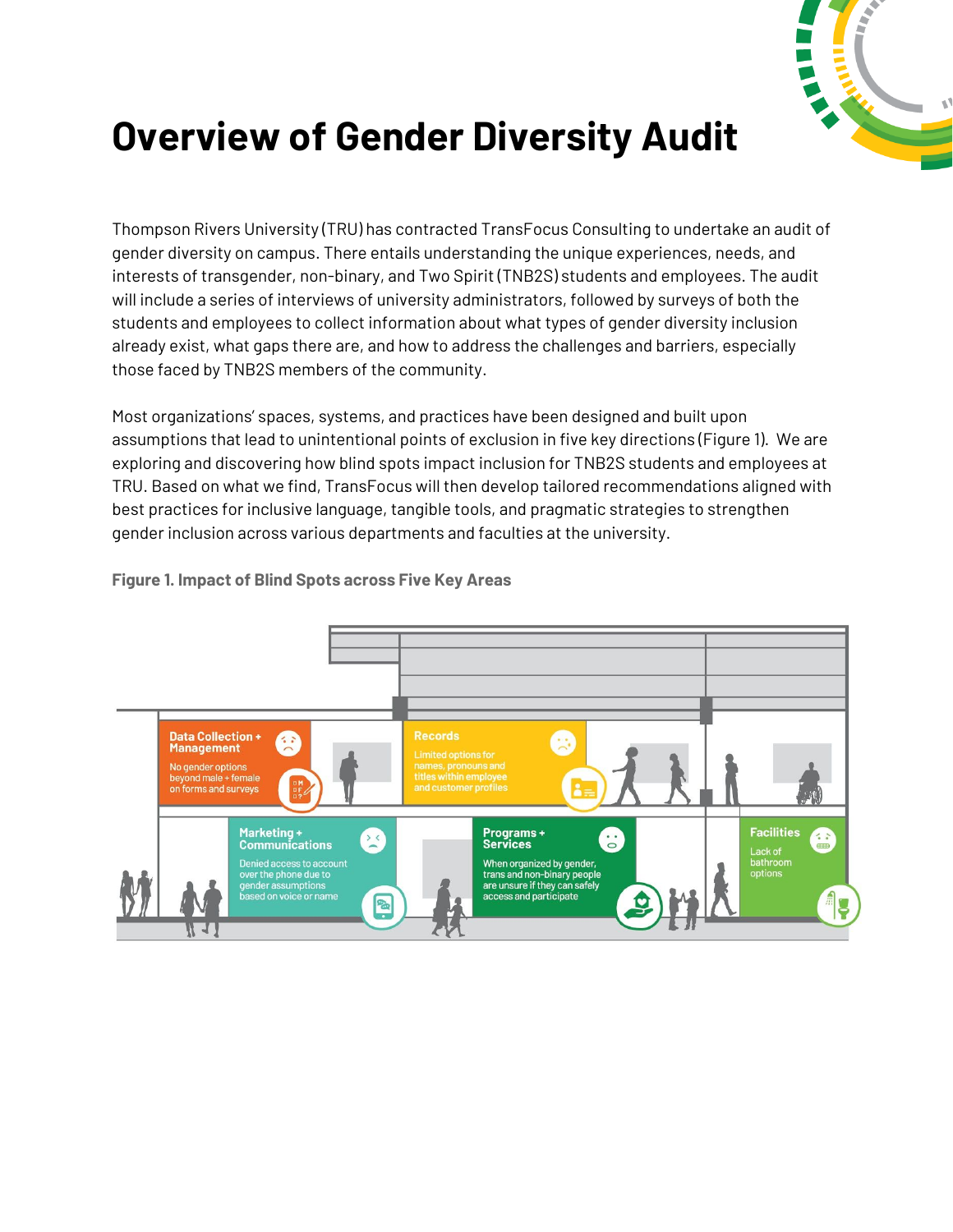

## **Overview of Gender Diversity Audit**

Thompson Rivers University (TRU) has contracted TransFocus Consulting to undertake an audit of gender diversity on campus. There entails understanding the unique experiences, needs, and interests of transgender, non-binary, and Two Spirit (TNB2S) students and employees. The audit will include a series of interviews of university administrators, followed by surveys of both the students and employees to collect information about what types of gender diversity inclusion already exist, what gaps there are, and how to address the challenges and barriers, especially those faced by TNB2S members of the community.

Most organizations' spaces, systems, and practices have been designed and built upon assumptions that lead to unintentional points of exclusion in five key directions (Figure 1). We are exploring and discovering how blind spots impact inclusion for TNB2S students and employees at TRU. Based on what we find, TransFocus will then develop tailored recommendations aligned with best practices for inclusive language, tangible tools, and pragmatic strategies to strengthen gender inclusion across various departments and faculties at the university.



**Figure 1. Impact of Blind Spots across Five Key Areas**